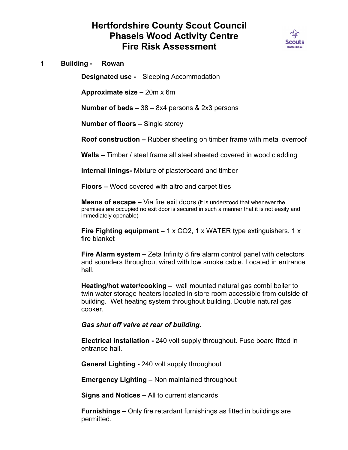## **Hertfordshire County Scout Council Phasels Wood Activity Centre Fire Risk Assessment**



**1 Building - Rowan**

**Designated use -** Sleeping Accommodation

**Approximate size –** 20m x 6m

**Number of beds –** 38 – 8x4 persons & 2x3 persons

**Number of floors –** Single storey

**Roof construction –** Rubber sheeting on timber frame with metal overroof

**Walls –** Timber / steel frame all steel sheeted covered in wood cladding

**Internal linings-** Mixture of plasterboard and timber

**Floors –** Wood covered with altro and carpet tiles

**Means of escape –** Via fire exit doors (it is understood that whenever the premises are occupied no exit door is secured in such a manner that it is not easily and immediately openable)

**Fire Fighting equipment –** 1 x CO2, 1 x WATER type extinguishers. 1 x fire blanket

**Fire Alarm system –** Zeta Infinity 8 fire alarm control panel with detectors and sounders throughout wired with low smoke cable. Located in entrance hall.

**Heating/hot water/cooking –** wall mounted natural gas combi boiler to twin water storage heaters located in store room accessible from outside of building. Wet heating system throughout building. Double natural gas cooker.

## *Gas shut off valve at rear of building.*

**Electrical installation -** 240 volt supply throughout. Fuse board fitted in entrance hall.

**General Lighting -** 240 volt supply throughout

**Emergency Lighting –** Non maintained throughout

**Signs and Notices –** All to current standards

**Furnishings –** Only fire retardant furnishings as fitted in buildings are permitted.